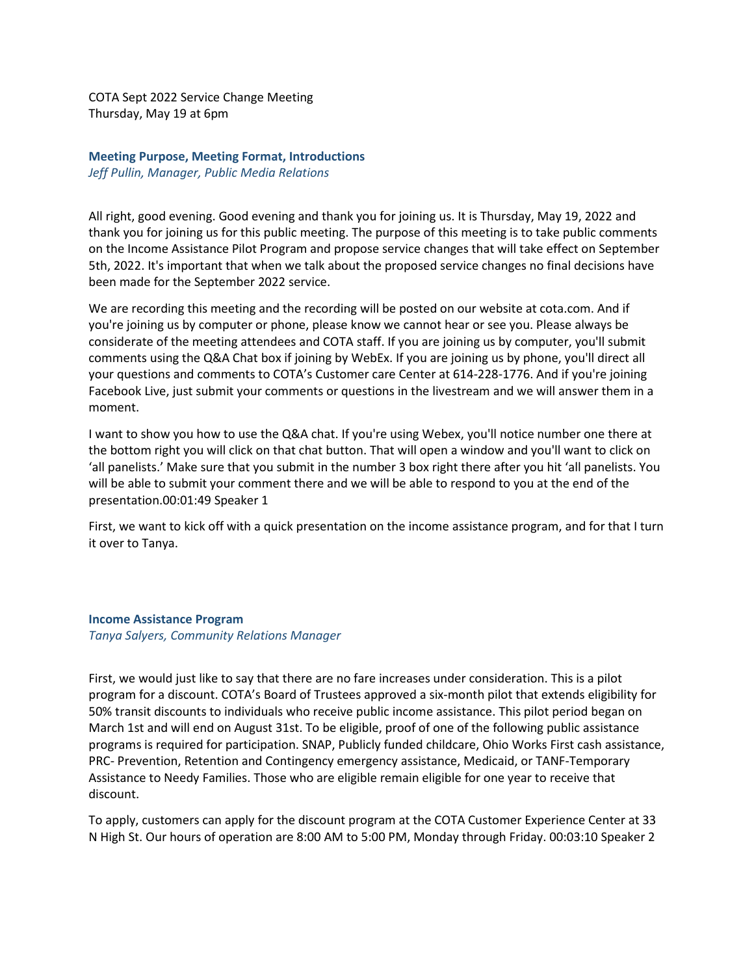COTA Sept 2022 Service Change Meeting Thursday, May 19 at 6pm

**Meeting Purpose, Meeting Format, Introductions** *Jeff Pullin, Manager, Public Media Relations*

All right, good evening. Good evening and thank you for joining us. It is Thursday, May 19, 2022 and thank you for joining us for this public meeting. The purpose of this meeting is to take public comments on the Income Assistance Pilot Program and propose service changes that will take effect on September 5th, 2022. It's important that when we talk about the proposed service changes no final decisions have been made for the September 2022 service.

We are recording this meeting and the recording will be posted on our website at cota.com. And if you're joining us by computer or phone, please know we cannot hear or see you. Please always be considerate of the meeting attendees and COTA staff. If you are joining us by computer, you'll submit comments using the Q&A Chat box if joining by WebEx. If you are joining us by phone, you'll direct all your questions and comments to COTA's Customer care Center at 614-228-1776. And if you're joining Facebook Live, just submit your comments or questions in the livestream and we will answer them in a moment.

I want to show you how to use the Q&A chat. If you're using Webex, you'll notice number one there at the bottom right you will click on that chat button. That will open a window and you'll want to click on 'all panelists.' Make sure that you submit in the number 3 box right there after you hit 'all panelists. You will be able to submit your comment there and we will be able to respond to you at the end of the presentation.00:01:49 Speaker 1

First, we want to kick off with a quick presentation on the income assistance program, and for that I turn it over to Tanya.

## **Income Assistance Program**

*Tanya Salyers, Community Relations Manager*

First, we would just like to say that there are no fare increases under consideration. This is a pilot program for a discount. COTA's Board of Trustees approved a six-month pilot that extends eligibility for 50% transit discounts to individuals who receive public income assistance. This pilot period began on March 1st and will end on August 31st. To be eligible, proof of one of the following public assistance programs is required for participation. SNAP, Publicly funded childcare, Ohio Works First cash assistance, PRC- Prevention, Retention and Contingency emergency assistance, Medicaid, or TANF-Temporary Assistance to Needy Families. Those who are eligible remain eligible for one year to receive that discount.

To apply, customers can apply for the discount program at the COTA Customer Experience Center at 33 N High St. Our hours of operation are 8:00 AM to 5:00 PM, Monday through Friday. 00:03:10 Speaker 2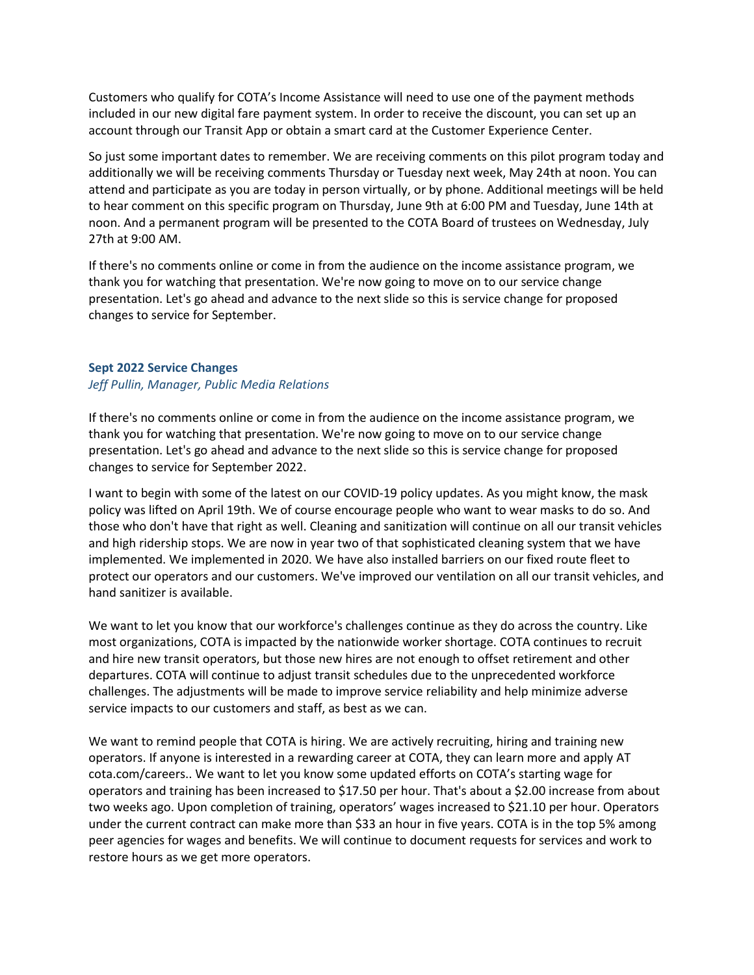Customers who qualify for COTA's Income Assistance will need to use one of the payment methods included in our new digital fare payment system. In order to receive the discount, you can set up an account through our Transit App or obtain a smart card at the Customer Experience Center.

So just some important dates to remember. We are receiving comments on this pilot program today and additionally we will be receiving comments Thursday or Tuesday next week, May 24th at noon. You can attend and participate as you are today in person virtually, or by phone. Additional meetings will be held to hear comment on this specific program on Thursday, June 9th at 6:00 PM and Tuesday, June 14th at noon. And a permanent program will be presented to the COTA Board of trustees on Wednesday, July 27th at 9:00 AM.

If there's no comments online or come in from the audience on the income assistance program, we thank you for watching that presentation. We're now going to move on to our service change presentation. Let's go ahead and advance to the next slide so this is service change for proposed changes to service for September.

## **Sept 2022 Service Changes**

## *Jeff Pullin, Manager, Public Media Relations*

If there's no comments online or come in from the audience on the income assistance program, we thank you for watching that presentation. We're now going to move on to our service change presentation. Let's go ahead and advance to the next slide so this is service change for proposed changes to service for September 2022.

I want to begin with some of the latest on our COVID-19 policy updates. As you might know, the mask policy was lifted on April 19th. We of course encourage people who want to wear masks to do so. And those who don't have that right as well. Cleaning and sanitization will continue on all our transit vehicles and high ridership stops. We are now in year two of that sophisticated cleaning system that we have implemented. We implemented in 2020. We have also installed barriers on our fixed route fleet to protect our operators and our customers. We've improved our ventilation on all our transit vehicles, and hand sanitizer is available.

We want to let you know that our workforce's challenges continue as they do across the country. Like most organizations, COTA is impacted by the nationwide worker shortage. COTA continues to recruit and hire new transit operators, but those new hires are not enough to offset retirement and other departures. COTA will continue to adjust transit schedules due to the unprecedented workforce challenges. The adjustments will be made to improve service reliability and help minimize adverse service impacts to our customers and staff, as best as we can.

We want to remind people that COTA is hiring. We are actively recruiting, hiring and training new operators. If anyone is interested in a rewarding career at COTA, they can learn more and apply AT cota.com/careers.. We want to let you know some updated efforts on COTA's starting wage for operators and training has been increased to \$17.50 per hour. That's about a \$2.00 increase from about two weeks ago. Upon completion of training, operators' wages increased to \$21.10 per hour. Operators under the current contract can make more than \$33 an hour in five years. COTA is in the top 5% among peer agencies for wages and benefits. We will continue to document requests for services and work to restore hours as we get more operators.